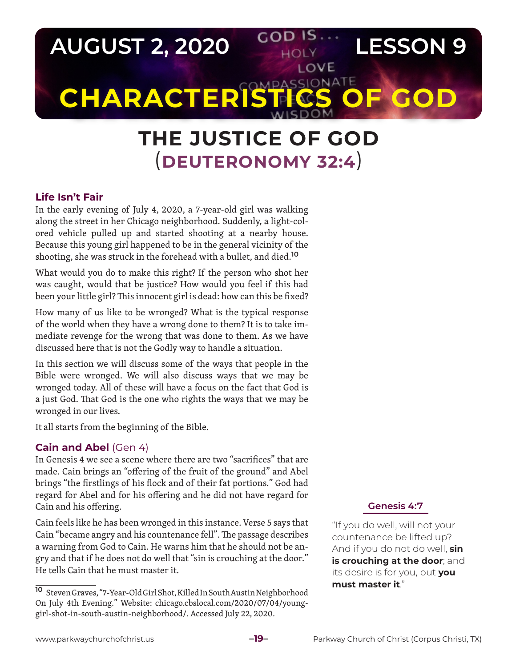

## **THE JUSTICE OF GOD** (**DEUTERONOMY 32:4**)

## **Life Isn't Fair**

In the early evening of July 4, 2020, a 7-year-old girl was walking along the street in her Chicago neighborhood. Suddenly, a light-colored vehicle pulled up and started shooting at a nearby house. Because this young girl happened to be in the general vicinity of the shooting, she was struck in the forehead with a bullet, and died.**<sup>10</sup>**

What would you do to make this right? If the person who shot her was caught, would that be justice? How would you feel if this had been your little girl? This innocent girl is dead: how can this be fixed?

How many of us like to be wronged? What is the typical response of the world when they have a wrong done to them? It is to take immediate revenge for the wrong that was done to them. As we have discussed here that is not the Godly way to handle a situation.

In this section we will discuss some of the ways that people in the Bible were wronged. We will also discuss ways that we may be wronged today. All of these will have a focus on the fact that God is a just God. That God is the one who rights the ways that we may be wronged in our lives.

It all starts from the beginning of the Bible.

## **Cain and Abel** (Gen 4)

In Genesis 4 we see a scene where there are two "sacrifices" that are made. Cain brings an "offering of the fruit of the ground" and Abel brings "the firstlings of his flock and of their fat portions." God had regard for Abel and for his offering and he did not have regard for Cain and his offering.

Cain feels like he has been wronged in this instance. Verse 5 says that Cain "became angry and his countenance fell". The passage describes a warning from God to Cain. He warns him that he should not be angry and that if he does not do well that "sin is crouching at the door." He tells Cain that he must master it.

## **Genesis 4:7**

"If you do well, will not your countenance be lifted up? And if you do not do well, **sin is crouching at the door**; and its desire is for you, but **you must master it**."

**<sup>10</sup>** Steven Graves, "7-Year-Old Girl Shot, Killed In South Austin Neighborhood On July 4th Evening." Website: chicago.cbslocal.com/2020/07/04/younggirl-shot-in-south-austin-neighborhood/. Accessed July 22, 2020.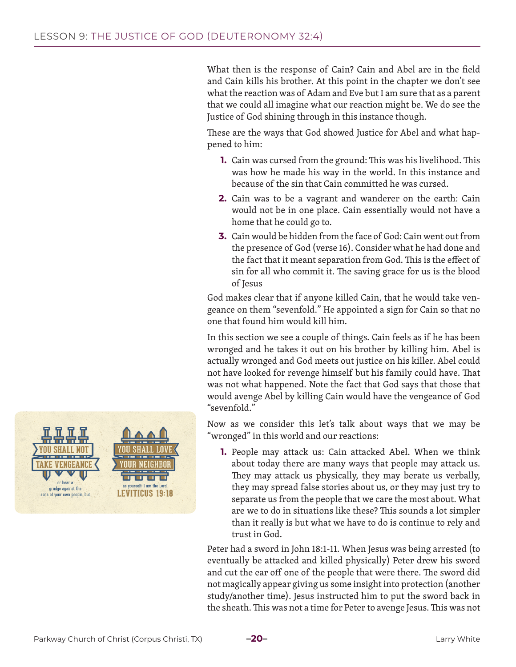What then is the response of Cain? Cain and Abel are in the field and Cain kills his brother. At this point in the chapter we don't see what the reaction was of Adam and Eve but I am sure that as a parent that we could all imagine what our reaction might be. We do see the Justice of God shining through in this instance though.

These are the ways that God showed Justice for Abel and what happened to him:

- **1.** Cain was cursed from the ground: This was his livelihood. This was how he made his way in the world. In this instance and because of the sin that Cain committed he was cursed.
- **2.** Cain was to be a vagrant and wanderer on the earth: Cain would not be in one place. Cain essentially would not have a home that he could go to.
- **3.** Cain would be hidden from the face of God: Cain went out from the presence of God (verse 16). Consider what he had done and the fact that it meant separation from God. This is the effect of sin for all who commit it. The saving grace for us is the blood of Jesus

God makes clear that if anyone killed Cain, that he would take vengeance on them "sevenfold." He appointed a sign for Cain so that no one that found him would kill him.

In this section we see a couple of things. Cain feels as if he has been wronged and he takes it out on his brother by killing him. Abel is actually wronged and God meets out justice on his killer. Abel could not have looked for revenge himself but his family could have. That was not what happened. Note the fact that God says that those that would avenge Abel by killing Cain would have the vengeance of God "sevenfold."

Now as we consider this let's talk about ways that we may be "wronged" in this world and our reactions:

**1.** People may attack us: Cain attacked Abel. When we think about today there are many ways that people may attack us. They may attack us physically, they may berate us verbally, they may spread false stories about us, or they may just try to separate us from the people that we care the most about. What are we to do in situations like these? This sounds a lot simpler than it really is but what we have to do is continue to rely and trust in God.

Peter had a sword in John 18:1-11. When Jesus was being arrested (to eventually be attacked and killed physically) Peter drew his sword and cut the ear off one of the people that were there. The sword did not magically appear giving us some insight into protection (another study/another time). Jesus instructed him to put the sword back in the sheath. This was not a time for Peter to avenge Jesus. This was not

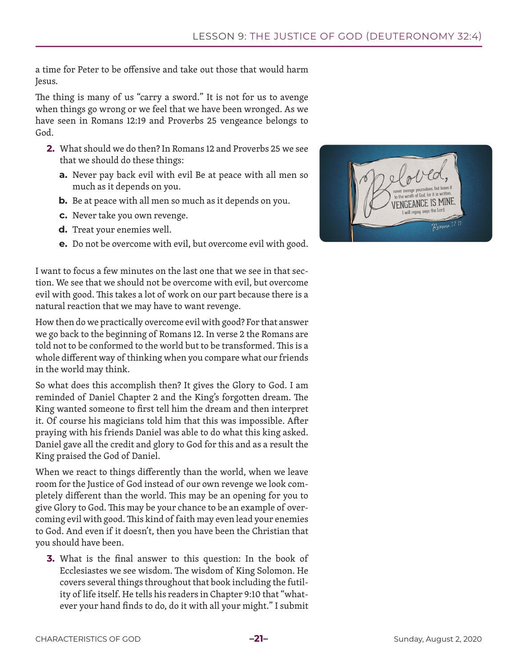a time for Peter to be offensive and take out those that would harm Jesus.

The thing is many of us "carry a sword." It is not for us to avenge when things go wrong or we feel that we have been wronged. As we have seen in Romans 12:19 and Proverbs 25 vengeance belongs to God.

- **2.** What should we do then? In Romans 12 and Proverbs 25 we see that we should do these things:
	- **a.** Never pay back evil with evil Be at peace with all men so much as it depends on you.
	- **b.** Be at peace with all men so much as it depends on you.
	- **c.** Never take you own revenge.
	- **d.** Treat your enemies well.
	- **e.** Do not be overcome with evil, but overcome evil with good.

I want to focus a few minutes on the last one that we see in that section. We see that we should not be overcome with evil, but overcome evil with good. This takes a lot of work on our part because there is a natural reaction that we may have to want revenge.

How then do we practically overcome evil with good? For that answer we go back to the beginning of Romans 12. In verse 2 the Romans are told not to be conformed to the world but to be transformed. This is a whole different way of thinking when you compare what our friends in the world may think.

So what does this accomplish then? It gives the Glory to God. I am reminded of Daniel Chapter 2 and the King's forgotten dream. The King wanted someone to first tell him the dream and then interpret it. Of course his magicians told him that this was impossible. After praying with his friends Daniel was able to do what this king asked. Daniel gave all the credit and glory to God for this and as a result the King praised the God of Daniel.

When we react to things differently than the world, when we leave room for the Justice of God instead of our own revenge we look completely different than the world. This may be an opening for you to give Glory to God. This may be your chance to be an example of overcoming evil with good. This kind of faith may even lead your enemies to God. And even if it doesn't, then you have been the Christian that you should have been.

**3.** What is the final answer to this question: In the book of Ecclesiastes we see wisdom. The wisdom of King Solomon. He covers several things throughout that book including the futility of life itself. He tells his readers in Chapter 9:10 that "whatever your hand finds to do, do it with all your might." I submit

ENGEANCE IS MII Romano